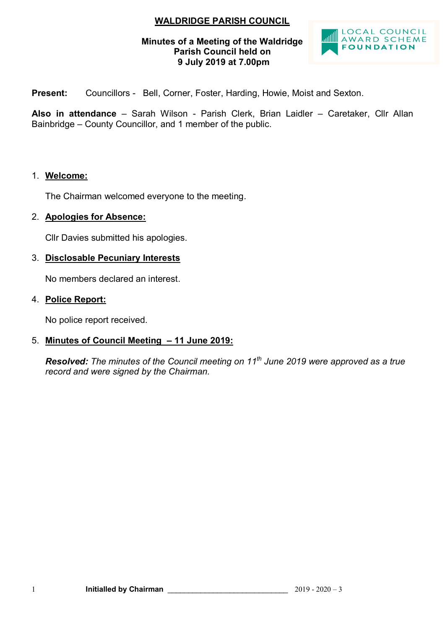## **WALDRIDGE PARISH COUNCIL**

#### **Minutes of a Meeting of the Waldridge Parish Council held on 9 July 2019 at 7.00pm**



Present: Councillors - Bell, Corner, Foster, Harding, Howie, Moist and Sexton.

**Also in attendance** – Sarah Wilson - Parish Clerk, Brian Laidler – Caretaker, Cllr Allan Bainbridge – County Councillor, and 1 member of the public.

#### 1. **Welcome:**

The Chairman welcomed everyone to the meeting.

#### 2. **Apologies for Absence:**

Cllr Davies submitted his apologies.

#### 3. **Disclosable Pecuniary Interests**

No members declared an interest.

#### 4. **Police Report:**

No police report received.

## 5. **Minutes of Council Meeting – 11 June 2019:**

*Resolved: The minutes of the Council meeting on 11th June 2019 were approved as a true record and were signed by the Chairman.*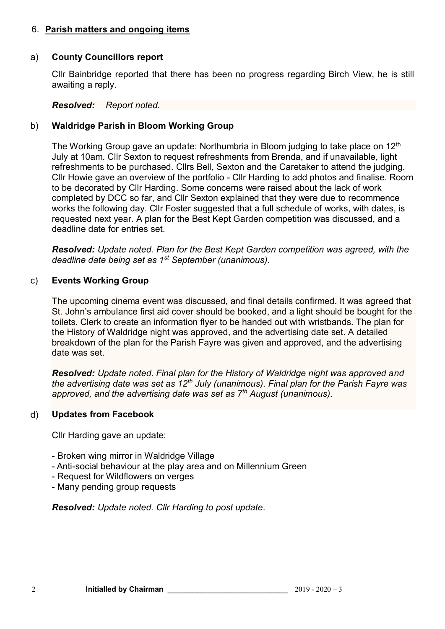## 6. **Parish matters and ongoing items**

#### a) **County Councillors report**

Cllr Bainbridge reported that there has been no progress regarding Birch View, he is still awaiting a reply.

#### *Resolved: Report noted.*

## b) **Waldridge Parish in Bloom Working Group**

The Working Group gave an update: Northumbria in Bloom judging to take place on  $12<sup>th</sup>$ July at 10am. Cllr Sexton to request refreshments from Brenda, and if unavailable, light refreshments to be purchased. Cllrs Bell, Sexton and the Caretaker to attend the judging. Cllr Howie gave an overview of the portfolio - Cllr Harding to add photos and finalise. Room to be decorated by Cllr Harding. Some concerns were raised about the lack of work completed by DCC so far, and Cllr Sexton explained that they were due to recommence works the following day. Cllr Foster suggested that a full schedule of works, with dates, is requested next year. A plan for the Best Kept Garden competition was discussed, and a deadline date for entries set.

*Resolved: Update noted. Plan for the Best Kept Garden competition was agreed, with the deadline date being set as 1st September (unanimous).*

#### c) **Events Working Group**

The upcoming cinema event was discussed, and final details confirmed. It was agreed that St. John's ambulance first aid cover should be booked, and a light should be bought for the toilets. Clerk to create an information flyer to be handed out with wristbands. The plan for the History of Waldridge night was approved, and the advertising date set. A detailed breakdown of the plan for the Parish Fayre was given and approved, and the advertising date was set.

*Resolved: Update noted. Final plan for the History of Waldridge night was approved and the advertising date was set as 12th July (unanimous). Final plan for the Parish Fayre was approved, and the advertising date was set as 7th August (unanimous).*

## d) **Updates from Facebook**

Cllr Harding gave an update:

- Broken wing mirror in Waldridge Village
- Anti-social behaviour at the play area and on Millennium Green
- Request for Wildflowers on verges
- Many pending group requests

*Resolved: Update noted. Cllr Harding to post update.*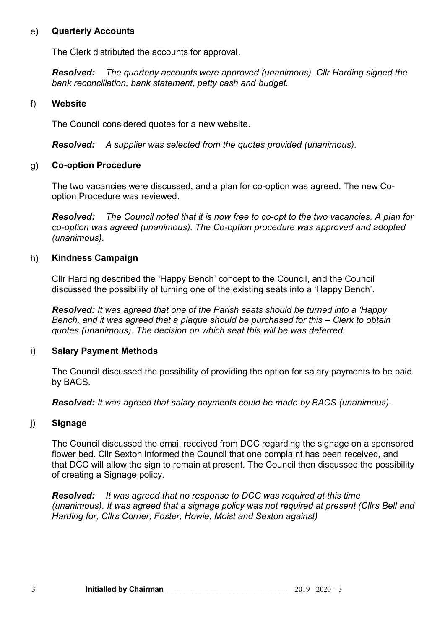#### e) **Quarterly Accounts**

The Clerk distributed the accounts for approval.

*Resolved: The quarterly accounts were approved (unanimous). Cllr Harding signed the bank reconciliation, bank statement, petty cash and budget.*

#### f) **Website**

The Council considered quotes for a new website.

*Resolved: A supplier was selected from the quotes provided (unanimous).*

## g) **Co-option Procedure**

The two vacancies were discussed, and a plan for co-option was agreed. The new Cooption Procedure was reviewed.

*Resolved: The Council noted that it is now free to co-opt to the two vacancies. A plan for co-option was agreed (unanimous). The Co-option procedure was approved and adopted (unanimous).*

#### h) **Kindness Campaign**

Cllr Harding described the 'Happy Bench' concept to the Council, and the Council discussed the possibility of turning one of the existing seats into a 'Happy Bench'.

**Resolved:** It was agreed that one of the Parish seats should be turned into a '*Happy Bench, and it was agreed that a plaque should be purchased for this – Clerk to obtain quotes (unanimous). The decision on which seat this will be was deferred.*

## i) **Salary Payment Methods**

The Council discussed the possibility of providing the option for salary payments to be paid by BACS.

*Resolved: It was agreed that salary payments could be made by BACS (unanimous).*

## j) **Signage**

The Council discussed the email received from DCC regarding the signage on a sponsored flower bed. Cllr Sexton informed the Council that one complaint has been received, and that DCC will allow the sign to remain at present. The Council then discussed the possibility of creating a Signage policy.

*Resolved: It was agreed that no response to DCC was required at this time (unanimous). It was agreed that a signage policy was not required at present (Cllrs Bell and Harding for, Cllrs Corner, Foster, Howie, Moist and Sexton against)*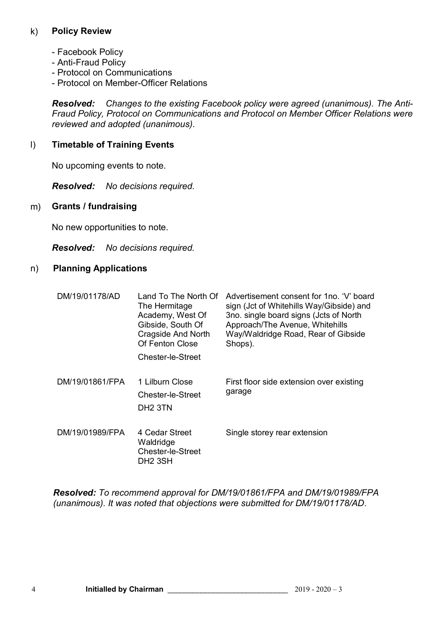## k) **Policy Review**

- Facebook Policy
- Anti-Fraud Policy
- Protocol on Communications
- Protocol on Member-Officer Relations

*Resolved: Changes to the existing Facebook policy were agreed (unanimous). The Anti-Fraud Policy, Protocol on Communications and Protocol on Member Officer Relations were reviewed and adopted (unanimous).*

#### l) **Timetable of Training Events**

No upcoming events to note.

*Resolved: No decisions required.*

#### m) **Grants / fundraising**

No new opportunities to note.

*Resolved: No decisions required.*

#### n) **Planning Applications**

| DM/19/01178/AD  | Land To The North Of<br>The Hermitage<br>Academy, West Of<br>Gibside, South Of<br>Cragside And North<br>Of Fenton Close<br>Chester-le-Street | Advertisement consent for 1no. 'V' board<br>sign (Jct of Whitehills Way/Gibside) and<br>3no. single board signs (Jcts of North<br>Approach/The Avenue, Whitehills<br>Way/Waldridge Road, Rear of Gibside<br>Shops). |
|-----------------|----------------------------------------------------------------------------------------------------------------------------------------------|---------------------------------------------------------------------------------------------------------------------------------------------------------------------------------------------------------------------|
| DM/19/01861/FPA | 1 Lilburn Close<br>Chester-le-Street<br>DH <sub>2</sub> 3TN                                                                                  | First floor side extension over existing<br>garage                                                                                                                                                                  |
| DM/19/01989/FPA | 4 Cedar Street<br>Waldridge<br><b>Chester-le-Street</b><br>DH2 3SH                                                                           | Single storey rear extension                                                                                                                                                                                        |

*Resolved: To recommend approval for DM/19/01861/FPA and DM/19/01989/FPA (unanimous). It was noted that objections were submitted for DM/19/01178/AD.*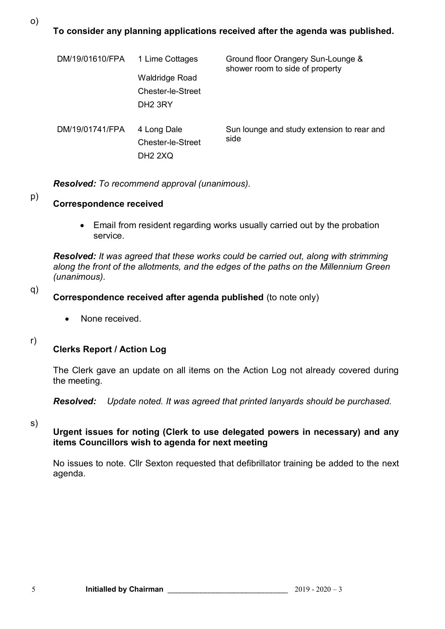o)

## **To consider any planning applications received after the agenda was published.**

| DM/19/01610/FPA | 1 Lime Cottages       | Ground floor Orangery Sun-Lounge &<br>shower room to side of property |
|-----------------|-----------------------|-----------------------------------------------------------------------|
|                 | <b>Waldridge Road</b> |                                                                       |
|                 | Chester-le-Street     |                                                                       |
|                 | DH <sub>2</sub> 3RY   |                                                                       |
| DM/19/01741/FPA | 4 Long Dale           | Sun lounge and study extension to rear and<br>side                    |
|                 | Chester-le-Street     |                                                                       |
|                 | <b>DH2 2XQ</b>        |                                                                       |

*Resolved: To recommend approval (unanimous).*

#### p) **Correspondence received**

 Email from resident regarding works usually carried out by the probation service.

*Resolved: It was agreed that these works could be carried out, along with strimming along the front of the allotments, and the edges of the paths on the Millennium Green (unanimous).*

#### q) **Correspondence received after agenda published** (to note only)

- None received.
- r)

## **Clerks Report / Action Log**

The Clerk gave an update on all items on the Action Log not already covered during the meeting.

*Resolved: Update noted. It was agreed that printed lanyards should be purchased.*

s)

#### **Urgent issues for noting (Clerk to use delegated powers in necessary) and any items Councillors wish to agenda for next meeting**

No issues to note. Cllr Sexton requested that defibrillator training be added to the next agenda.